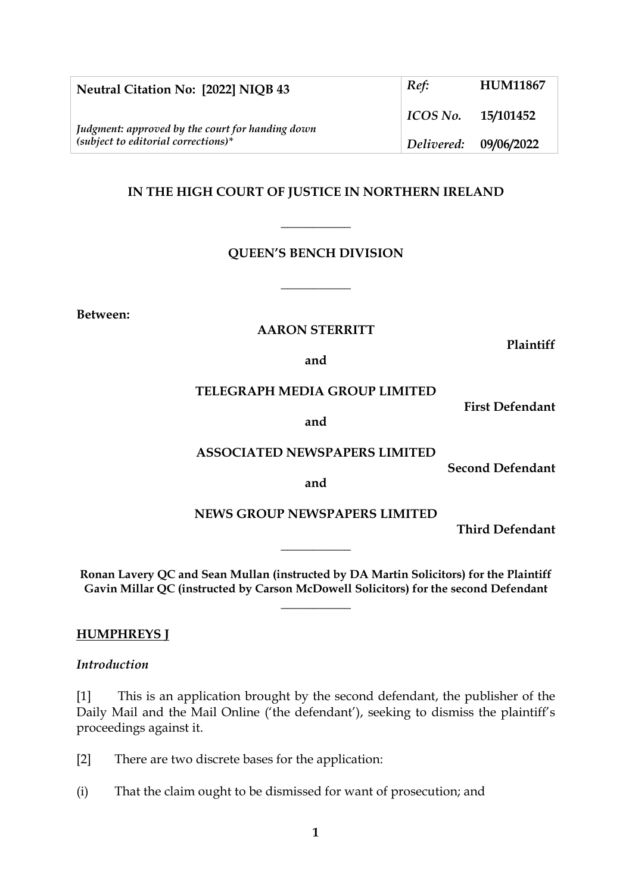| Neutral Citation No: [2022] NIQB 43                                                       | Ref:                  | <b>HUM11867</b> |
|-------------------------------------------------------------------------------------------|-----------------------|-----------------|
| Judgment: approved by the court for handing down<br>$(subject to editorial corrections)*$ | $ICOS No.$ 15/101452  |                 |
|                                                                                           | Delivered: 09/06/2022 |                 |

### **IN THE HIGH COURT OF JUSTICE IN NORTHERN IRELAND**

**\_\_\_\_\_\_\_\_\_\_\_**

### **QUEEN'S BENCH DIVISION**

**\_\_\_\_\_\_\_\_\_\_\_**

**Between:**

#### **AARON STERRITT**

**Plaintiff**

**and**

#### **TELEGRAPH MEDIA GROUP LIMITED**

**and**

#### **ASSOCIATED NEWSPAPERS LIMITED**

**Second Defendant**

**First Defendant**

**and**

### **NEWS GROUP NEWSPAPERS LIMITED**

**\_\_\_\_\_\_\_\_\_\_\_**

**Third Defendant**

**Ronan Lavery QC and Sean Mullan (instructed by DA Martin Solicitors) for the Plaintiff Gavin Millar QC (instructed by Carson McDowell Solicitors) for the second Defendant**

**\_\_\_\_\_\_\_\_\_\_\_**

#### **HUMPHREYS J**

#### *Introduction*

[1] This is an application brought by the second defendant, the publisher of the Daily Mail and the Mail Online ('the defendant'), seeking to dismiss the plaintiff's proceedings against it.

[2] There are two discrete bases for the application:

(i) That the claim ought to be dismissed for want of prosecution; and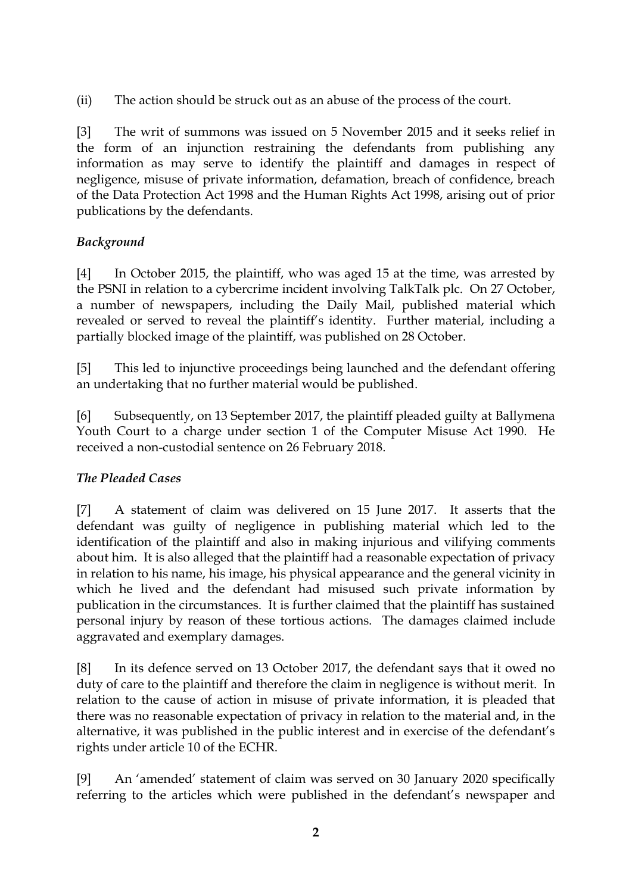(ii) The action should be struck out as an abuse of the process of the court.

[3] The writ of summons was issued on 5 November 2015 and it seeks relief in the form of an injunction restraining the defendants from publishing any information as may serve to identify the plaintiff and damages in respect of negligence, misuse of private information, defamation, breach of confidence, breach of the Data Protection Act 1998 and the Human Rights Act 1998, arising out of prior publications by the defendants.

# *Background*

[4] In October 2015, the plaintiff, who was aged 15 at the time, was arrested by the PSNI in relation to a cybercrime incident involving TalkTalk plc. On 27 October, a number of newspapers, including the Daily Mail, published material which revealed or served to reveal the plaintiff's identity. Further material, including a partially blocked image of the plaintiff, was published on 28 October.

[5] This led to injunctive proceedings being launched and the defendant offering an undertaking that no further material would be published.

[6] Subsequently, on 13 September 2017, the plaintiff pleaded guilty at Ballymena Youth Court to a charge under section 1 of the Computer Misuse Act 1990. He received a non-custodial sentence on 26 February 2018.

# *The Pleaded Cases*

[7] A statement of claim was delivered on 15 June 2017. It asserts that the defendant was guilty of negligence in publishing material which led to the identification of the plaintiff and also in making injurious and vilifying comments about him. It is also alleged that the plaintiff had a reasonable expectation of privacy in relation to his name, his image, his physical appearance and the general vicinity in which he lived and the defendant had misused such private information by publication in the circumstances. It is further claimed that the plaintiff has sustained personal injury by reason of these tortious actions. The damages claimed include aggravated and exemplary damages.

[8] In its defence served on 13 October 2017, the defendant says that it owed no duty of care to the plaintiff and therefore the claim in negligence is without merit. In relation to the cause of action in misuse of private information, it is pleaded that there was no reasonable expectation of privacy in relation to the material and, in the alternative, it was published in the public interest and in exercise of the defendant's rights under article 10 of the ECHR.

[9] An 'amended' statement of claim was served on 30 January 2020 specifically referring to the articles which were published in the defendant's newspaper and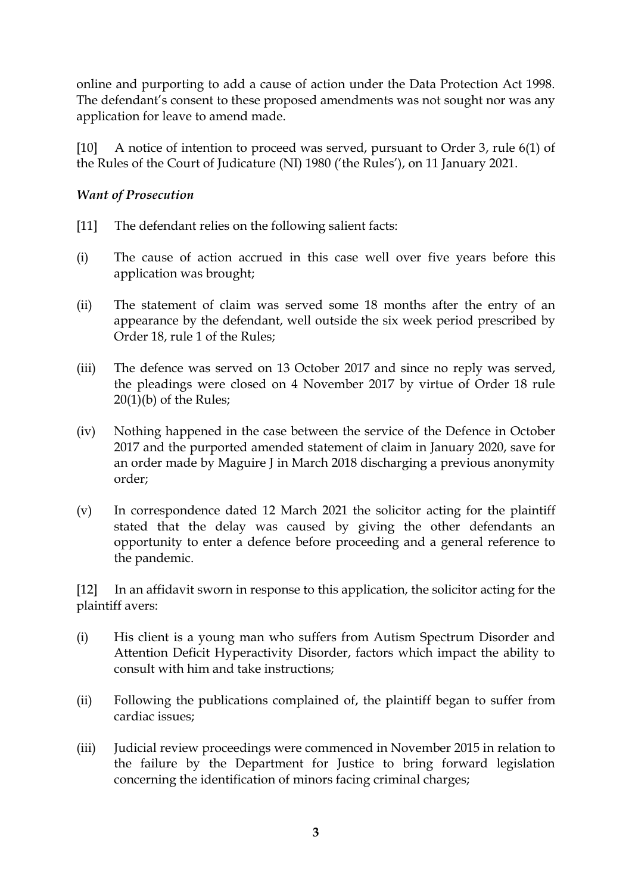online and purporting to add a cause of action under the Data Protection Act 1998. The defendant's consent to these proposed amendments was not sought nor was any application for leave to amend made.

[10] A notice of intention to proceed was served, pursuant to Order 3, rule 6(1) of the Rules of the Court of Judicature (NI) 1980 ('the Rules'), on 11 January 2021.

### *Want of Prosecution*

- [11] The defendant relies on the following salient facts:
- (i) The cause of action accrued in this case well over five years before this application was brought;
- (ii) The statement of claim was served some 18 months after the entry of an appearance by the defendant, well outside the six week period prescribed by Order 18, rule 1 of the Rules;
- (iii) The defence was served on 13 October 2017 and since no reply was served, the pleadings were closed on 4 November 2017 by virtue of Order 18 rule 20(1)(b) of the Rules;
- (iv) Nothing happened in the case between the service of the Defence in October 2017 and the purported amended statement of claim in January 2020, save for an order made by Maguire J in March 2018 discharging a previous anonymity order;
- (v) In correspondence dated 12 March 2021 the solicitor acting for the plaintiff stated that the delay was caused by giving the other defendants an opportunity to enter a defence before proceeding and a general reference to the pandemic.

[12] In an affidavit sworn in response to this application, the solicitor acting for the plaintiff avers:

- (i) His client is a young man who suffers from Autism Spectrum Disorder and Attention Deficit Hyperactivity Disorder, factors which impact the ability to consult with him and take instructions;
- (ii) Following the publications complained of, the plaintiff began to suffer from cardiac issues;
- (iii) Judicial review proceedings were commenced in November 2015 in relation to the failure by the Department for Justice to bring forward legislation concerning the identification of minors facing criminal charges;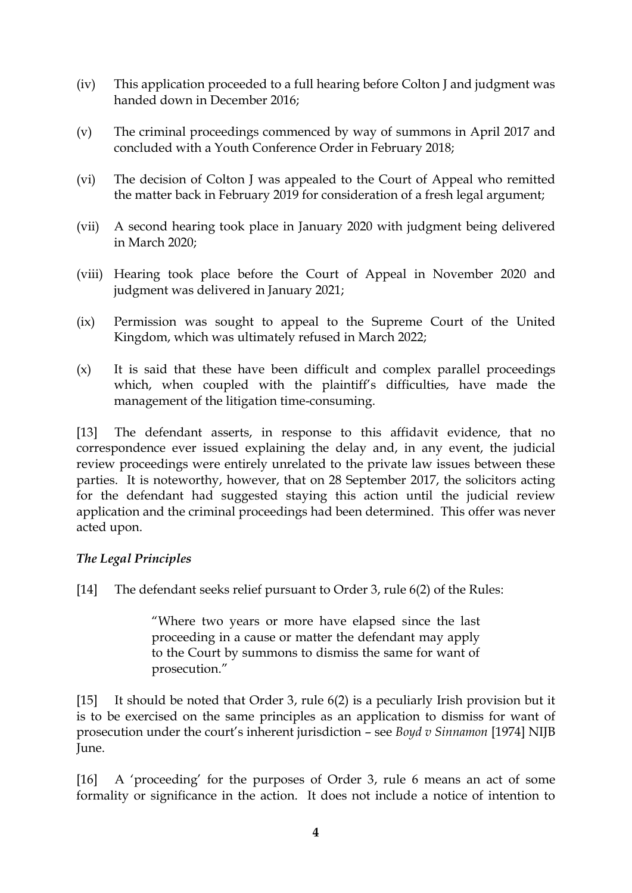- (iv) This application proceeded to a full hearing before Colton J and judgment was handed down in December 2016;
- (v) The criminal proceedings commenced by way of summons in April 2017 and concluded with a Youth Conference Order in February 2018;
- (vi) The decision of Colton J was appealed to the Court of Appeal who remitted the matter back in February 2019 for consideration of a fresh legal argument;
- (vii) A second hearing took place in January 2020 with judgment being delivered in March 2020;
- (viii) Hearing took place before the Court of Appeal in November 2020 and judgment was delivered in January 2021;
- (ix) Permission was sought to appeal to the Supreme Court of the United Kingdom, which was ultimately refused in March 2022;
- (x) It is said that these have been difficult and complex parallel proceedings which, when coupled with the plaintiff's difficulties, have made the management of the litigation time-consuming.

[13] The defendant asserts, in response to this affidavit evidence, that no correspondence ever issued explaining the delay and, in any event, the judicial review proceedings were entirely unrelated to the private law issues between these parties. It is noteworthy, however, that on 28 September 2017, the solicitors acting for the defendant had suggested staying this action until the judicial review application and the criminal proceedings had been determined. This offer was never acted upon.

# *The Legal Principles*

[14] The defendant seeks relief pursuant to Order 3, rule 6(2) of the Rules:

"Where two years or more have elapsed since the last proceeding in a cause or matter the defendant may apply to the Court by summons to dismiss the same for want of prosecution."

[15] It should be noted that Order 3, rule 6(2) is a peculiarly Irish provision but it is to be exercised on the same principles as an application to dismiss for want of prosecution under the court's inherent jurisdiction – see *Boyd v Sinnamon* [1974] NIJB June.

[16] A 'proceeding' for the purposes of Order 3, rule 6 means an act of some formality or significance in the action. It does not include a notice of intention to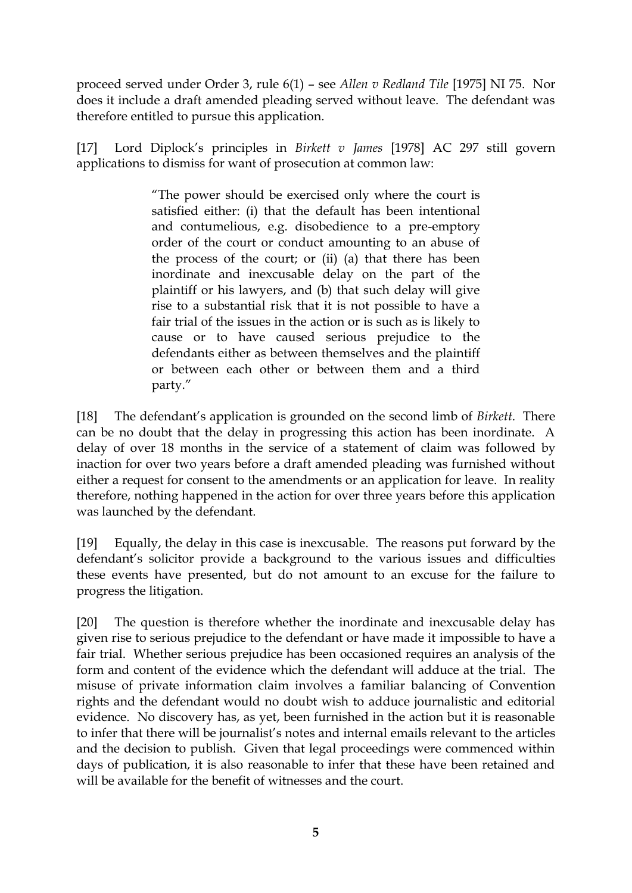proceed served under Order 3, rule 6(1) – see *Allen v Redland Tile* [1975] NI 75. Nor does it include a draft amended pleading served without leave. The defendant was therefore entitled to pursue this application.

[17] Lord Diplock's principles in *Birkett v James* [1978] AC 297 still govern applications to dismiss for want of prosecution at common law:

> "The power should be exercised only where the court is satisfied either: (i) that the default has been intentional and contumelious, e.g. disobedience to a pre-emptory order of the court or conduct amounting to an abuse of the process of the court; or (ii) (a) that there has been inordinate and inexcusable delay on the part of the plaintiff or his lawyers, and (b) that such delay will give rise to a substantial risk that it is not possible to have a fair trial of the issues in the action or is such as is likely to cause or to have caused serious prejudice to the defendants either as between themselves and the plaintiff or between each other or between them and a third party."

[18] The defendant's application is grounded on the second limb of *Birkett*. There can be no doubt that the delay in progressing this action has been inordinate. A delay of over 18 months in the service of a statement of claim was followed by inaction for over two years before a draft amended pleading was furnished without either a request for consent to the amendments or an application for leave. In reality therefore, nothing happened in the action for over three years before this application was launched by the defendant.

[19] Equally, the delay in this case is inexcusable. The reasons put forward by the defendant's solicitor provide a background to the various issues and difficulties these events have presented, but do not amount to an excuse for the failure to progress the litigation.

[20] The question is therefore whether the inordinate and inexcusable delay has given rise to serious prejudice to the defendant or have made it impossible to have a fair trial. Whether serious prejudice has been occasioned requires an analysis of the form and content of the evidence which the defendant will adduce at the trial. The misuse of private information claim involves a familiar balancing of Convention rights and the defendant would no doubt wish to adduce journalistic and editorial evidence. No discovery has, as yet, been furnished in the action but it is reasonable to infer that there will be journalist's notes and internal emails relevant to the articles and the decision to publish. Given that legal proceedings were commenced within days of publication, it is also reasonable to infer that these have been retained and will be available for the benefit of witnesses and the court.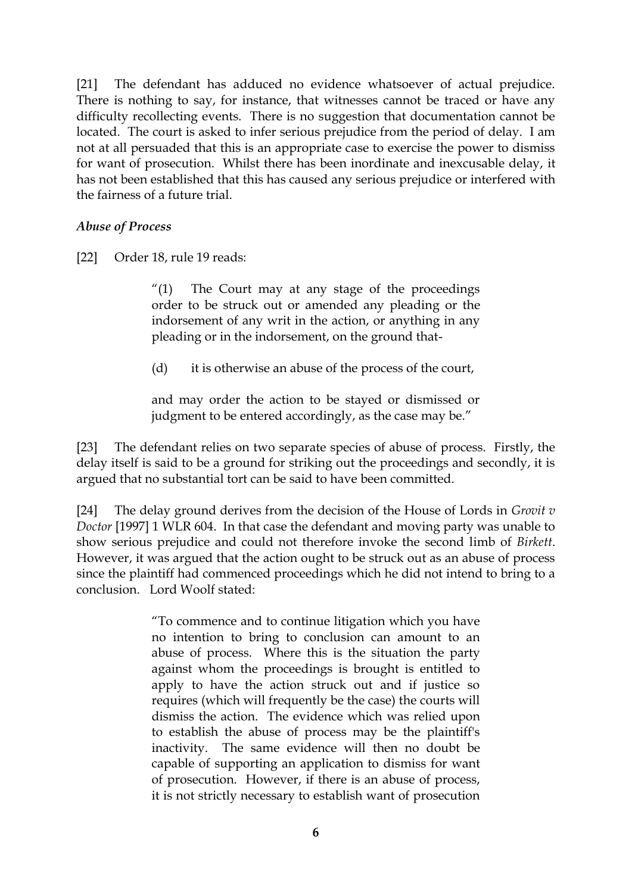[21] The defendant has adduced no evidence whatsoever of actual prejudice. There is nothing to say, for instance, that witnesses cannot be traced or have any difficulty recollecting events. There is no suggestion that documentation cannot be located. The court is asked to infer serious prejudice from the period of delay. I am not at all persuaded that this is an appropriate case to exercise the power to dismiss for want of prosecution. Whilst there has been inordinate and inexcusable delay, it has not been established that this has caused any serious prejudice or interfered with the fairness of a future trial.

### *Abuse of Process*

[22] Order 18, rule 19 reads:

"(1) The Court may at any stage of the proceedings order to be struck out or amended any pleading or the indorsement of any writ in the action, or anything in any pleading or in the indorsement, on the ground that-

(d) it is otherwise an abuse of the process of the court,

and may order the action to be stayed or dismissed or judgment to be entered accordingly, as the case may be."

[23] The defendant relies on two separate species of abuse of process. Firstly, the delay itself is said to be a ground for striking out the proceedings and secondly, it is argued that no substantial tort can be said to have been committed.

[24] The delay ground derives from the decision of the House of Lords in *Grovit v Doctor* [1997] 1 WLR 604. In that case the defendant and moving party was unable to show serious prejudice and could not therefore invoke the second limb of *Birkett*. However, it was argued that the action ought to be struck out as an abuse of process since the plaintiff had commenced proceedings which he did not intend to bring to a conclusion. Lord Woolf stated:

> "To commence and to continue litigation which you have no intention to bring to conclusion can amount to an abuse of process. Where this is the situation the party against whom the proceedings is brought is entitled to apply to have the action struck out and if justice so requires (which will frequently be the case) the courts will dismiss the action. The evidence which was relied upon to establish the abuse of process may be the plaintiff's inactivity. The same evidence will then no doubt be capable of supporting an application to dismiss for want of prosecution. However, if there is an abuse of process, it is not strictly necessary to establish want of prosecution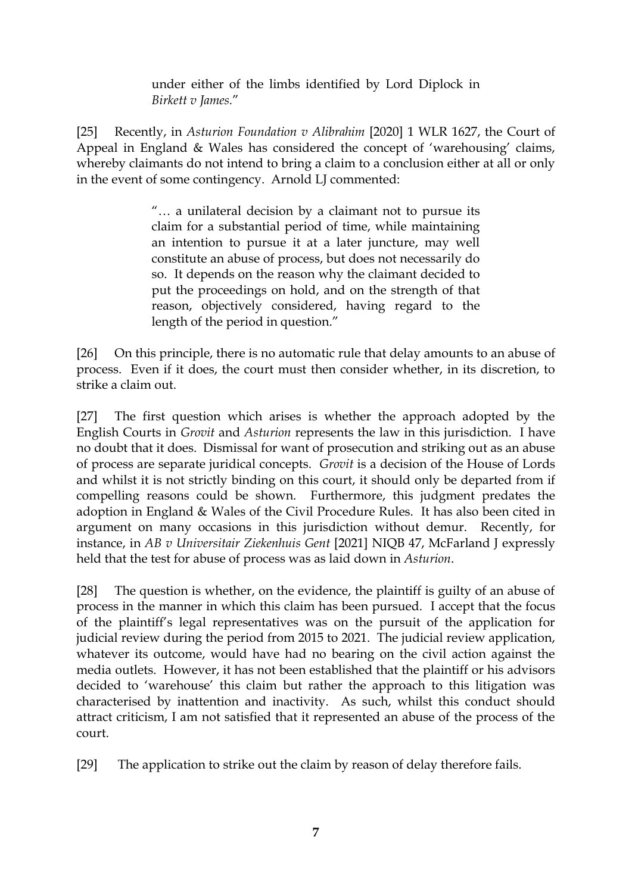under either of the limbs identified by Lord Diplock in *Birkett v James.*"

[25] Recently, in *Asturion Foundation v Alibrahim* [2020] 1 WLR 1627, the Court of Appeal in England & Wales has considered the concept of 'warehousing' claims, whereby claimants do not intend to bring a claim to a conclusion either at all or only in the event of some contingency. Arnold LJ commented:

> "… a unilateral decision by a claimant not to pursue its claim for a substantial period of time, while maintaining an intention to pursue it at a later juncture, may well constitute an abuse of process, but does not necessarily do so. It depends on the reason why the claimant decided to put the proceedings on hold, and on the strength of that reason, objectively considered, having regard to the length of the period in question."

[26] On this principle, there is no automatic rule that delay amounts to an abuse of process. Even if it does, the court must then consider whether, in its discretion, to strike a claim out.

[27] The first question which arises is whether the approach adopted by the English Courts in *Grovit* and *Asturion* represents the law in this jurisdiction. I have no doubt that it does. Dismissal for want of prosecution and striking out as an abuse of process are separate juridical concepts. *Grovit* is a decision of the House of Lords and whilst it is not strictly binding on this court, it should only be departed from if compelling reasons could be shown. Furthermore, this judgment predates the adoption in England & Wales of the Civil Procedure Rules. It has also been cited in argument on many occasions in this jurisdiction without demur. Recently, for instance, in *AB v Universitair Ziekenhuis Gent* [2021] NIQB 47, McFarland J expressly held that the test for abuse of process was as laid down in *Asturion*.

[28] The question is whether, on the evidence, the plaintiff is guilty of an abuse of process in the manner in which this claim has been pursued. I accept that the focus of the plaintiff's legal representatives was on the pursuit of the application for judicial review during the period from 2015 to 2021. The judicial review application, whatever its outcome, would have had no bearing on the civil action against the media outlets. However, it has not been established that the plaintiff or his advisors decided to 'warehouse' this claim but rather the approach to this litigation was characterised by inattention and inactivity. As such, whilst this conduct should attract criticism, I am not satisfied that it represented an abuse of the process of the court.

[29] The application to strike out the claim by reason of delay therefore fails.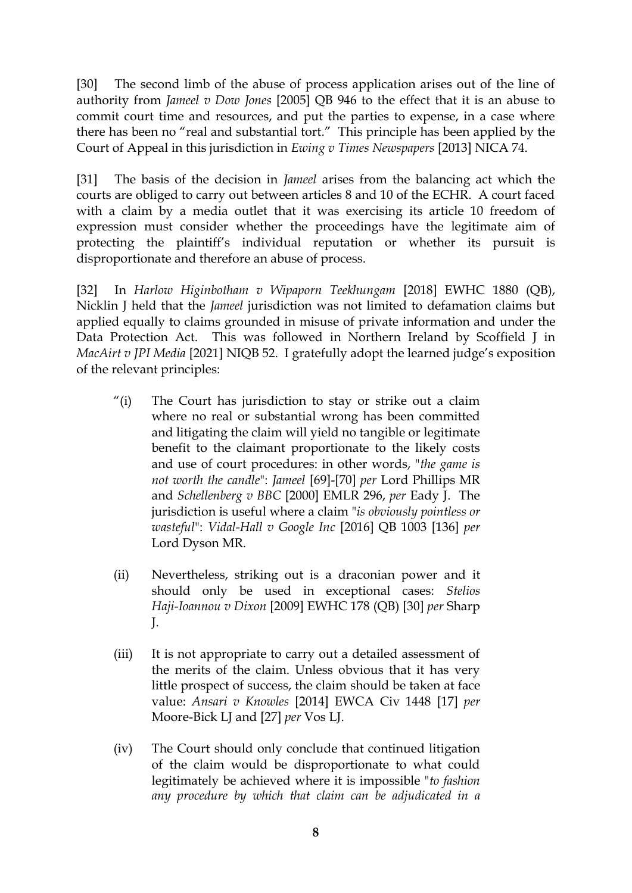[30] The second limb of the abuse of process application arises out of the line of authority from *Jameel v Dow Jones* [2005] QB 946 to the effect that it is an abuse to commit court time and resources, and put the parties to expense, in a case where there has been no "real and substantial tort." This principle has been applied by the Court of Appeal in this jurisdiction in *Ewing v Times Newspapers* [2013] NICA 74.

[31] The basis of the decision in *Jameel* arises from the balancing act which the courts are obliged to carry out between articles 8 and 10 of the ECHR. A court faced with a claim by a media outlet that it was exercising its article 10 freedom of expression must consider whether the proceedings have the legitimate aim of protecting the plaintiff's individual reputation or whether its pursuit is disproportionate and therefore an abuse of process.

[32] In *Harlow Higinbotham v Wipaporn Teekhungam* [2018] EWHC 1880 (QB), Nicklin J held that the *Jameel* jurisdiction was not limited to defamation claims but applied equally to claims grounded in misuse of private information and under the Data Protection Act. This was followed in Northern Ireland by Scoffield J in *MacAirt v JPI Media* [2021] NIQB 52. I gratefully adopt the learned judge's exposition of the relevant principles:

- "(i) The Court has jurisdiction to stay or strike out a claim where no real or substantial wrong has been committed and litigating the claim will yield no tangible or legitimate benefit to the claimant proportionate to the likely costs and use of court procedures: in other words, "*the game is not worth the candle*": *[Jameel](https://uk.westlaw.com/Document/ICBCA2110E42711DA8FC2A0F0355337E9/View/FullText.html?originationContext=document&transitionType=DocumentItem&ppcid=e34e8cbb89c3486d9e607e11661a9565&contextData=(sc.Search))* [69]-[70] *per* Lord Phillips MR and *[Schellenberg](https://uk.westlaw.com/Document/I987FD470E42811DA8FC2A0F0355337E9/View/FullText.html?originationContext=document&transitionType=DocumentItem&ppcid=e34e8cbb89c3486d9e607e11661a9565&contextData=(sc.Search)) v BBC* [2000] EMLR 296, *per* Eady J. The jurisdiction is useful where a claim "*is obviously pointless or wasteful*": *[Vidal-Hall](https://uk.westlaw.com/Document/I5ABA83B0D4A611E48CBFAE176D5F5ACA/View/FullText.html?originationContext=document&transitionType=DocumentItem&ppcid=e34e8cbb89c3486d9e607e11661a9565&contextData=(sc.Search)) v Google Inc* [2016] QB 1003 [136] *per* Lord Dyson MR.
- (ii) Nevertheless, striking out is a draconian power and it should only be used in exceptional cases: *[Stelios](https://uk.westlaw.com/Document/IA042CDD0FCAC11DD8C78AF1B434434EF/View/FullText.html?originationContext=document&transitionType=DocumentItem&ppcid=e34e8cbb89c3486d9e607e11661a9565&contextData=(sc.Search)) [Haji-Ioannou](https://uk.westlaw.com/Document/IA042CDD0FCAC11DD8C78AF1B434434EF/View/FullText.html?originationContext=document&transitionType=DocumentItem&ppcid=e34e8cbb89c3486d9e607e11661a9565&contextData=(sc.Search)) v Dixon* [2009] EWHC 178 (QB) [30] *per* Sharp J.
- (iii) It is not appropriate to carry out a detailed assessment of the merits of the claim. Unless obvious that it has very little prospect of success, the claim should be taken at face value: *Ansari v [Knowles](https://uk.westlaw.com/Document/IA73A5E606A9111E4BB17B5F4C1FD214F/View/FullText.html?originationContext=document&transitionType=DocumentItem&ppcid=e34e8cbb89c3486d9e607e11661a9565&contextData=(sc.Search))* [2014] EWCA Civ 1448 [17] *per* Moore-Bick LJ and [27] *per* Vos LJ.
- (iv) The Court should only conclude that continued litigation of the claim would be disproportionate to what could legitimately be achieved where it is impossible "*to fashion any procedure by which that claim can be adjudicated in a*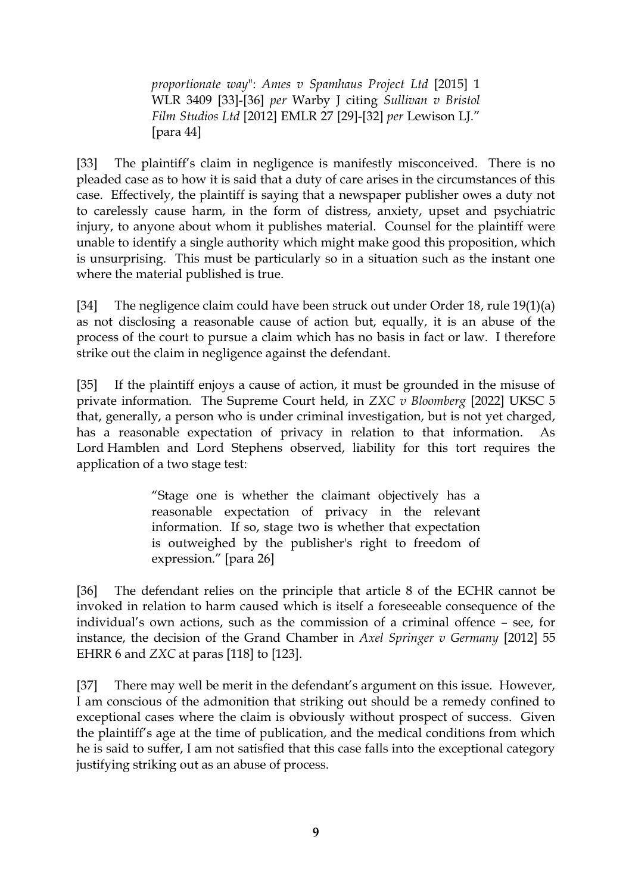*proportionate way*": *Ames v [Spamhaus](https://uk.westlaw.com/Document/IB5BAB5D0A65911E4B6F88B9E05CE5E29/View/FullText.html?originationContext=document&transitionType=DocumentItem&ppcid=e34e8cbb89c3486d9e607e11661a9565&contextData=(sc.Search)) Project Ltd* [2015] 1 [WLR](https://uk.westlaw.com/Document/IB5BAB5D0A65911E4B6F88B9E05CE5E29/View/FullText.html?originationContext=document&transitionType=DocumentItem&ppcid=e34e8cbb89c3486d9e607e11661a9565&contextData=(sc.Search)) 3409 [33]-[36] *per* Warby J citing *[Sullivan](https://uk.westlaw.com/Document/I9E8D4210957711E1BFD6E242412F84FF/View/FullText.html?originationContext=document&transitionType=DocumentItem&ppcid=e34e8cbb89c3486d9e607e11661a9565&contextData=(sc.Search)) v Bristol Film [Studios](https://uk.westlaw.com/Document/I9E8D4210957711E1BFD6E242412F84FF/View/FullText.html?originationContext=document&transitionType=DocumentItem&ppcid=e34e8cbb89c3486d9e607e11661a9565&contextData=(sc.Search)) Ltd* [2012] EMLR 27 [29]-[32] *per* Lewison LJ." [para 44]

[33] The plaintiff's claim in negligence is manifestly misconceived. There is no pleaded case as to how it is said that a duty of care arises in the circumstances of this case. Effectively, the plaintiff is saying that a newspaper publisher owes a duty not to carelessly cause harm, in the form of distress, anxiety, upset and psychiatric injury, to anyone about whom it publishes material. Counsel for the plaintiff were unable to identify a single authority which might make good this proposition, which is unsurprising. This must be particularly so in a situation such as the instant one where the material published is true.

[34] The negligence claim could have been struck out under Order 18, rule 19(1)(a) as not disclosing a reasonable cause of action but, equally, it is an abuse of the process of the court to pursue a claim which has no basis in fact or law. I therefore strike out the claim in negligence against the defendant.

[35] If the plaintiff enjoys a cause of action, it must be grounded in the misuse of private information. The Supreme Court held, in *ZXC v Bloomberg* [2022] UKSC 5 that, generally, a person who is under criminal investigation, but is not yet charged, has a reasonable expectation of privacy in relation to that information. As Lord Hamblen and Lord Stephens observed, liability for this tort requires the application of a two stage test:

> "Stage one is whether the claimant objectively has a reasonable expectation of privacy in the relevant information. If so, stage two is whether that expectation is outweighed by the publisher's right to freedom of expression." [para 26]

[36] The defendant relies on the principle that article 8 of the ECHR cannot be invoked in relation to harm caused which is itself a foreseeable consequence of the individual's own actions, such as the commission of a criminal offence – see, for instance, the decision of the Grand Chamber in *Axel Springer v Germany* [2012] 55 EHRR 6 and *ZXC* at paras [118] to [123].

[37] There may well be merit in the defendant's argument on this issue. However, I am conscious of the admonition that striking out should be a remedy confined to exceptional cases where the claim is obviously without prospect of success. Given the plaintiff's age at the time of publication, and the medical conditions from which he is said to suffer, I am not satisfied that this case falls into the exceptional category justifying striking out as an abuse of process.